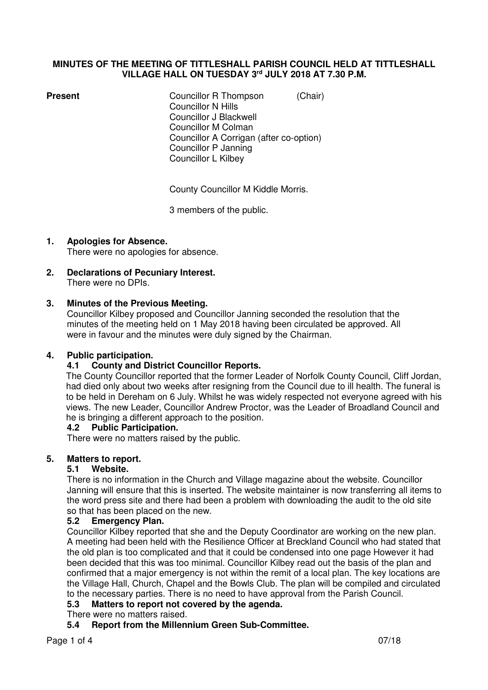#### **MINUTES OF THE MEETING OF TITTLESHALL PARISH COUNCIL HELD AT TITTLESHALL VILLAGE HALL ON TUESDAY 3rd JULY 2018 AT 7.30 P.M.**

**Present Councillor R Thompson** *(Chair)*  Councillor N Hills Councillor J Blackwell Councillor M Colman Councillor A Corrigan (after co-option) Councillor P Janning Councillor L Kilbey

County Councillor M Kiddle Morris.

3 members of the public.

**1. Apologies for Absence.** 

There were no apologies for absence.

**2. Declarations of Pecuniary Interest.**  There were no DPIs.

### **3. Minutes of the Previous Meeting.**

Councillor Kilbey proposed and Councillor Janning seconded the resolution that the minutes of the meeting held on 1 May 2018 having been circulated be approved. All were in favour and the minutes were duly signed by the Chairman.

## **4. Public participation.**

### **4.1 County and District Councillor Reports.**

The County Councillor reported that the former Leader of Norfolk County Council, Cliff Jordan, had died only about two weeks after resigning from the Council due to ill health. The funeral is to be held in Dereham on 6 July. Whilst he was widely respected not everyone agreed with his views. The new Leader, Councillor Andrew Proctor, was the Leader of Broadland Council and he is bringing a different approach to the position.

### **4.2 Public Participation.**

There were no matters raised by the public.

### **5. Matters to report.**

### **5.1 Website.**

There is no information in the Church and Village magazine about the website. Councillor Janning will ensure that this is inserted. The website maintainer is now transferring all items to the word press site and there had been a problem with downloading the audit to the old site so that has been placed on the new.

### **5.2 Emergency Plan.**

Councillor Kilbey reported that she and the Deputy Coordinator are working on the new plan. A meeting had been held with the Resilience Officer at Breckland Council who had stated that the old plan is too complicated and that it could be condensed into one page However it had been decided that this was too minimal. Councillor Kilbey read out the basis of the plan and confirmed that a major emergency is not within the remit of a local plan. The key locations are the Village Hall, Church, Chapel and the Bowls Club. The plan will be compiled and circulated to the necessary parties. There is no need to have approval from the Parish Council.

### **5.3 Matters to report not covered by the agenda.**

### There were no matters raised.

### **5.4 Report from the Millennium Green Sub-Committee.**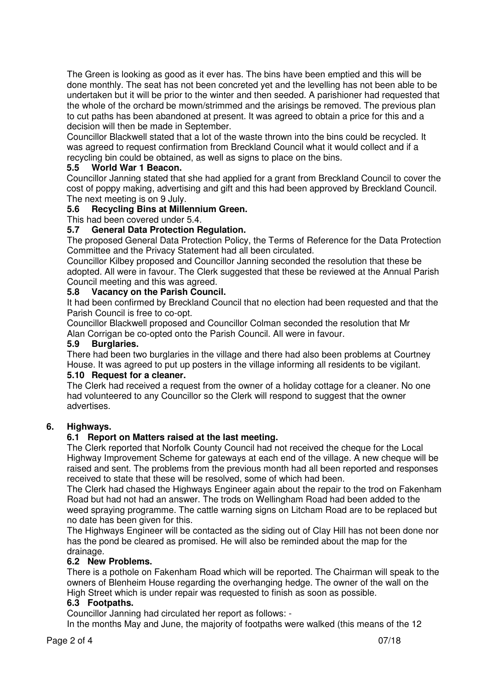The Green is looking as good as it ever has. The bins have been emptied and this will be done monthly. The seat has not been concreted yet and the levelling has not been able to be undertaken but it will be prior to the winter and then seeded. A parishioner had requested that the whole of the orchard be mown/strimmed and the arisings be removed. The previous plan to cut paths has been abandoned at present. It was agreed to obtain a price for this and a decision will then be made in September.

 Councillor Blackwell stated that a lot of the waste thrown into the bins could be recycled. It was agreed to request confirmation from Breckland Council what it would collect and if a recycling bin could be obtained, as well as signs to place on the bins.

# **5.5 World War 1 Beacon.**

Councillor Janning stated that she had applied for a grant from Breckland Council to cover the cost of poppy making, advertising and gift and this had been approved by Breckland Council. The next meeting is on 9 July.

# **5.6 Recycling Bins at Millennium Green.**

This had been covered under 5.4.

# **5.7 General Data Protection Regulation.**

The proposed General Data Protection Policy, the Terms of Reference for the Data Protection Committee and the Privacy Statement had all been circulated.

 Councillor Kilbey proposed and Councillor Janning seconded the resolution that these be adopted. All were in favour. The Clerk suggested that these be reviewed at the Annual Parish Council meeting and this was agreed.

# **5.8 Vacancy on the Parish Council.**

It had been confirmed by Breckland Council that no election had been requested and that the Parish Council is free to co-opt.

 Councillor Blackwell proposed and Councillor Colman seconded the resolution that Mr Alan Corrigan be co-opted onto the Parish Council. All were in favour.

## **5.9 Burglaries.**

There had been two burglaries in the village and there had also been problems at Courtney House. It was agreed to put up posters in the village informing all residents to be vigilant.

# **5.10 Request for a cleaner.**

The Clerk had received a request from the owner of a holiday cottage for a cleaner. No one had volunteered to any Councillor so the Clerk will respond to suggest that the owner advertises.

### **6. Highways.**

### **6.1 Report on Matters raised at the last meeting.**

The Clerk reported that Norfolk County Council had not received the cheque for the Local Highway Improvement Scheme for gateways at each end of the village. A new cheque will be raised and sent. The problems from the previous month had all been reported and responses received to state that these will be resolved, some of which had been.

 The Clerk had chased the Highways Engineer again about the repair to the trod on Fakenham Road but had not had an answer. The trods on Wellingham Road had been added to the weed spraying programme. The cattle warning signs on Litcham Road are to be replaced but no date has been given for this.

 The Highways Engineer will be contacted as the siding out of Clay Hill has not been done nor has the pond be cleared as promised. He will also be reminded about the map for the drainage.

### **6.2 New Problems.**

There is a pothole on Fakenham Road which will be reported. The Chairman will speak to the owners of Blenheim House regarding the overhanging hedge. The owner of the wall on the High Street which is under repair was requested to finish as soon as possible.

### **6.3 Footpaths.**

Councillor Janning had circulated her report as follows: -

In the months May and June, the majority of footpaths were walked (this means of the 12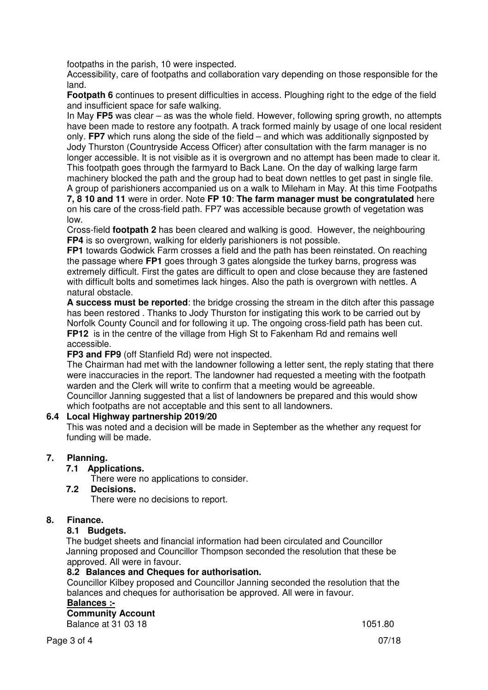footpaths in the parish, 10 were inspected.

 Accessibility, care of footpaths and collaboration vary depending on those responsible for the land.

**Footpath 6** continues to present difficulties in access. Ploughing right to the edge of the field and insufficient space for safe walking.

In May **FP5** was clear – as was the whole field. However, following spring growth, no attempts have been made to restore any footpath. A track formed mainly by usage of one local resident only. **FP7** which runs along the side of the field – and which was additionally signposted by Jody Thurston (Countryside Access Officer) after consultation with the farm manager is no longer accessible. It is not visible as it is overgrown and no attempt has been made to clear it. This footpath goes through the farmyard to Back Lane. On the day of walking large farm machinery blocked the path and the group had to beat down nettles to get past in single file.

A group of parishioners accompanied us on a walk to Mileham in May. At this time Footpaths **7, 8 10 and 11** were in order. Note **FP 10**: **The farm manager must be congratulated** here on his care of the cross-field path. FP7 was accessible because growth of vegetation was low.

Cross-field **footpath 2** has been cleared and walking is good. However, the neighbouring **FP4** is so overgrown, walking for elderly parishioners is not possible.

**FP1** towards Godwick Farm crosses a field and the path has been reinstated. On reaching the passage where **FP1** goes through 3 gates alongside the turkey barns, progress was extremely difficult. First the gates are difficult to open and close because they are fastened with difficult bolts and sometimes lack hinges. Also the path is overgrown with nettles. A natural obstacle.

**A success must be reported**: the bridge crossing the stream in the ditch after this passage has been restored . Thanks to Jody Thurston for instigating this work to be carried out by Norfolk County Council and for following it up. The ongoing cross-field path has been cut. **FP12** is in the centre of the village from High St to Fakenham Rd and remains well accessible.

**FP3 and FP9** (off Stanfield Rd) were not inspected.

The Chairman had met with the landowner following a letter sent, the reply stating that there were inaccuracies in the report. The landowner had requested a meeting with the footpath warden and the Clerk will write to confirm that a meeting would be agreeable. Councillor Janning suggested that a list of landowners be prepared and this would show which footpaths are not acceptable and this sent to all landowners.

# **6.4 Local Highway partnership 2019/20**

This was noted and a decision will be made in September as the whether any request for funding will be made.

# **7. Planning.**

### **7.1 Applications.**

There were no applications to consider.

 **7.2 Decisions.** 

There were no decisions to report.

# **8. Finance.**

# **8.1 Budgets.**

The budget sheets and financial information had been circulated and Councillor Janning proposed and Councillor Thompson seconded the resolution that these be approved. All were in favour.

### **8.2 Balances and Cheques for authorisation.**

Councillor Kilbey proposed and Councillor Janning seconded the resolution that the balances and cheques for authorisation be approved. All were in favour.

# **Balances :-**

 **Community Account Balance at 31 03 18** 1051.80